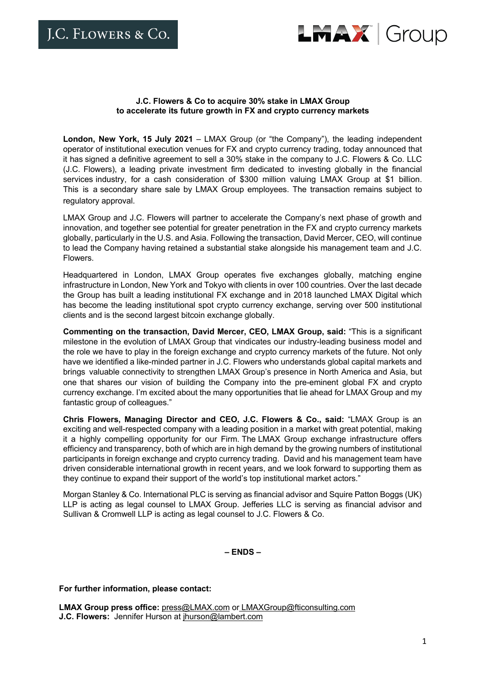

## **J.C. Flowers & Co to acquire 30% stake in LMAX Group to accelerate its future growth in FX and crypto currency markets**

**London, New York, 15 July 2021** – LMAX Group (or "the Company"), the leading independent operator of institutional execution venues for FX and crypto currency trading, today announced that it has signed a definitive agreement to sell a 30% stake in the company to J.C. Flowers & Co. LLC (J.C. Flowers), a leading private investment firm dedicated to investing globally in the financial services industry, for a cash consideration of \$300 million valuing LMAX Group at \$1 billion. This is a secondary share sale by LMAX Group employees. The transaction remains subject to regulatory approval.

LMAX Group and J.C. Flowers will partner to accelerate the Company's next phase of growth and innovation, and together see potential for greater penetration in the FX and crypto currency markets globally, particularly in the U.S. and Asia. Following the transaction, David Mercer, CEO, will continue to lead the Company having retained a substantial stake alongside his management team and J.C. Flowers.

Headquartered in London, LMAX Group operates five exchanges globally, matching engine infrastructure in London, New York and Tokyo with clients in over 100 countries. Over the last decade the Group has built a leading institutional FX exchange and in 2018 launched LMAX Digital which has become the leading institutional spot crypto currency exchange, serving over 500 institutional clients and is the second largest bitcoin exchange globally.

**Commenting on the transaction, David Mercer, CEO, LMAX Group, said:** "This is a significant milestone in the evolution of LMAX Group that vindicates our industry-leading business model and the role we have to play in the foreign exchange and crypto currency markets of the future. Not only have we identified a like-minded partner in J.C. Flowers who understands global capital markets and brings valuable connectivity to strengthen LMAX Group's presence in North America and Asia, but one that shares our vision of building the Company into the pre-eminent global FX and crypto currency exchange. I'm excited about the many opportunities that lie ahead for LMAX Group and my fantastic group of colleagues."

**Chris Flowers, Managing Director and CEO, J.C. Flowers & Co., said:** "LMAX Group is an exciting and well-respected company with a leading position in a market with great potential, making it a highly compelling opportunity for our Firm. The LMAX Group exchange infrastructure offers efficiency and transparency, both of which are in high demand by the growing numbers of institutional participants in foreign exchange and crypto currency trading. David and his management team have driven considerable international growth in recent years, and we look forward to supporting them as they continue to expand their support of the world's top institutional market actors."

Morgan Stanley & Co. International PLC is serving as financial advisor and Squire Patton Boggs (UK) LLP is acting as legal counsel to LMAX Group. Jefferies LLC is serving as financial advisor and Sullivan & Cromwell LLP is acting as legal counsel to J.C. Flowers & Co.

**– ENDS –**

**For further information, please contact:** 

**LMAX Group press office:** press@LMAX.com or LMAXGroup@fticonsulting.com **J.C. Flowers:** Jennifer Hurson at jhurson@lambert.com